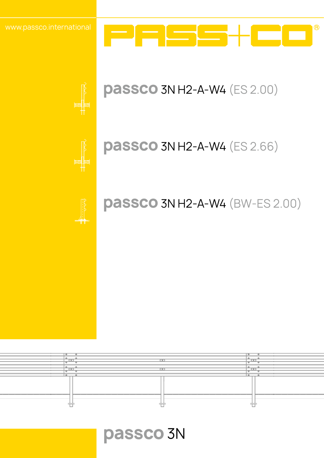

## **passco**3N H2-A-W4 (ES 2.00)

## **passco**3N H2-A-W4 (ES 2.66)

## **passco**3N H2-A-W4 (BW-ES 2.00)



7 N I

**passco**3N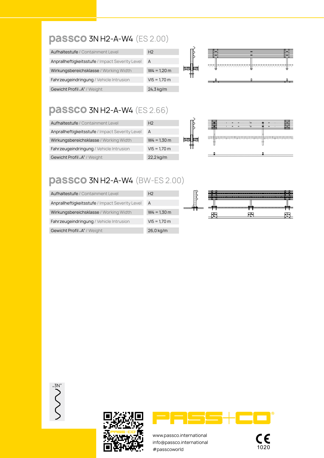#### **passco**3N H2-A-W4 (ES 2.00)

| Aufhaltestufe / Containment Level                 | H <sub>2</sub>         | ₻<br>≖ | -- |
|---------------------------------------------------|------------------------|--------|----|
| Anprallheftigkeitsstufe / Impact Severity Level A |                        |        |    |
| Wirkungsbereichsklasse / Working Width            | $W4 = 1.20 m$          |        |    |
| Fahrzeugeindringung / Vehicle Intrusion           | $VI5 = 1.70 m$         |        |    |
| Gewicht Profil "A" / Weight                       | $24,3 \,\mathrm{kg/m}$ |        |    |

#### **passco**3N H2-A-W4 (ES 2.66)

| Aufhaltestufe / Containment Level               | H <sub>2</sub>         | --                                                                                                                    |
|-------------------------------------------------|------------------------|-----------------------------------------------------------------------------------------------------------------------|
| Anprallheftigkeitsstufe / Impact Severity Level | A                      |                                                                                                                       |
| Wirkungsbereichsklasse / Working Width          | $W4 = 1,30 m$          | <b>TERNAH SELARAN PERANJAKAN SELARAN SELARAN SELARAN SELARAN SELARAN SELARAN SELARAN SELARAN SELARAN SELARAN SELA</b> |
| Fahrzeugeindringung / Vehicle Intrusion         | $VI5 = 1.70 m$         |                                                                                                                       |
| Gewicht Profil "A" / Weight                     | $22,2 \,\mathrm{kg/m}$ |                                                                                                                       |

### **passco**3N H2-A-W4 (BW-ES 2.00)

| Aufhaltestufe / Containment Level               | H <sub>2</sub> |        | provident de la companyation de l'Albanyation de la companyation de la companyation de la companyation de la |  |
|-------------------------------------------------|----------------|--------|--------------------------------------------------------------------------------------------------------------|--|
| Anprallheftigkeitsstufe / Impact Severity Level | A              |        |                                                                                                              |  |
| Wirkungsbereichsklasse / Working Width          | $W4 = 1.30$ m  | lo H o | ∙⊦∙                                                                                                          |  |
| Fahrzeugeindringung / Vehicle Intrusion         | $VI5 = 1.70 m$ |        |                                                                                                              |  |
| Gewicht Profil "A" / Weight                     | $26,0$ kg/m    |        |                                                                                                              |  |

"3N"





www.passco.international info@passco.international www.passco.international<br>
info@passco.international<br>
#passcoworld 1020

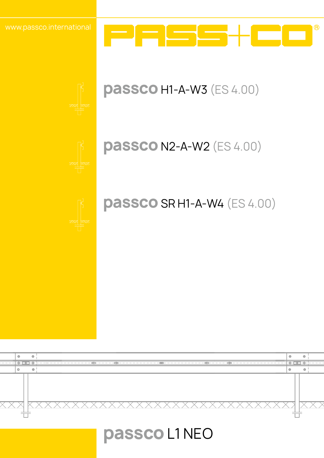



## **passco** N2-A-W2 (ES 4.00)

## **passco** SR H1-A-W4 (ES 4.00)



## **passco**L1 NEO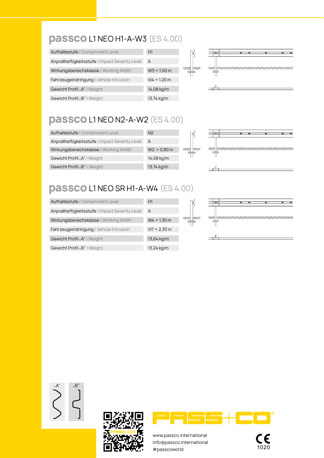### **passco**L1 NEO H1-A-W3 (ES 4.00)

| Aufhaltestufe / Containment Level               | H1             |   |
|-------------------------------------------------|----------------|---|
| Anprallheftigkeitsstufe / Impact Severity Level | A              |   |
| Wirkungsbereichsklasse / Working Width          | $W3 = 1.00 m$  | ⋙ |
| Fahrzeugeindringung / Vehicle Intrusion         | $VI4 = 1,20$ m |   |
| Gewicht Profil "A" / Weight                     | 14,08 kg/m     |   |
| Gewicht Profil "B" / Weight                     | 13,74 kg/m     |   |



Ъ

### **passco**L1 NEO N2-A-W2 (ES 4.00)

| Aufhaltestufe / Containment Level               | N <sub>2</sub> |                |
|-------------------------------------------------|----------------|----------------|
| Anprallheftigkeitsstufe / Impact Severity Level | A              |                |
| Wirkungsbereichsklasse / Working Width          | $W2 = 0.80$ m  | <b>yw</b><br>⋙ |
| Gewicht Profil "A" / Weight                     | 14,08 kg/m     |                |
| Gewicht Profil "B" / Weight                     | 13,74 kg/m     |                |



### **passco**L1 NEO SR H1-A-W4 (ES 4.00)

| Aufhaltestufe / Containment Level               | H1                    |              |
|-------------------------------------------------|-----------------------|--------------|
| Anprallheftigkeitsstufe / Impact Severity Level | A                     |              |
| Wirkungsbereichsklasse / Working Width          | $W4 = 1,30$ m         | <b>yssis</b> |
| Fahrzeugeindringung / Vehicle Intrusion         | $VI = 2,30 \text{ m}$ |              |
| Gewicht Profil "A" / Weight                     | 13,64 kg/m            |              |
| Gewicht Profil "B" / Weight                     | 13,24 kg/m            |              |



"A" "B"





www.passco.international info@passco.international www.passco.international<br>
info@passco.international<br>
#passcoworld 1020

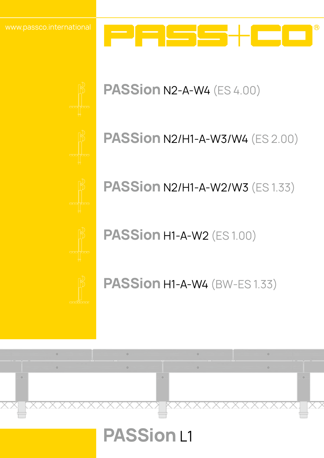



## **PASSion** N2-A-W4 (ES 4.00)

## **PASSion** N2/H1-A-W3/W4 (ES 2.00)

**PASSion N2/H1-A-W2/W3 (ES 1.33)** 

**PASSion** H1-A-W2 (ES 1.00)

**PASSion** H1-A-W4 (BW-ES 1.33)

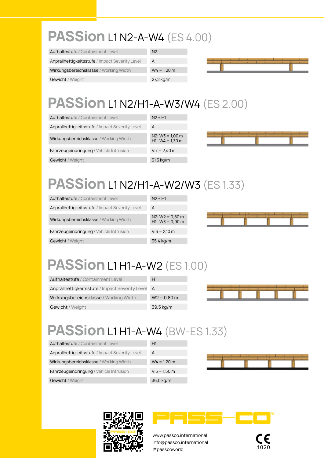# **PASSion** L1 N2-A-W4 (ES 4.00)

| Aufhaltestufe / Containment Level               | N <sub>2</sub> |
|-------------------------------------------------|----------------|
| Anprallheftigkeitsstufe / Impact Severity Level | A              |
| Wirkungsbereichsklasse / Working Width          | $W4 = 1,20 m$  |
| <b>Gewicht</b> / Weight                         | $27,2$ kg/m    |



# **PASSion** L1 N2/H1-A-W3/W4 (ES 2.00)

| Aufhaltestufe / Containment Level               | $N2 + H1$                              |
|-------------------------------------------------|----------------------------------------|
| Anprallheftigkeitsstufe / Impact Severity Level | A                                      |
| Wirkungsbereichsklasse / Working Width          | $N2: W3 = 1,00 m$<br>$H1: W4 = 1.30 m$ |
| Fahrzeugeindringung / Vehicle Intrusion         | $VI7 = 2,40 \text{ m}$                 |
| Gewicht / Weight                                | 31,3 kg/m                              |



# **PASSion** L1 N2/H1-A-W2/W3 (ES 1.33)

| Aufhaltestufe / Containment Level               | $N2 + H1$                              |
|-------------------------------------------------|----------------------------------------|
| Anprallheftigkeitsstufe / Impact Severity Level | A                                      |
| Wirkungsbereichsklasse / Working Width          | $N2: W2 = 0.80$ m<br>$H1: W3 = 0.90 m$ |
| Fahrzeugeindringung / Vehicle Intrusion         | $V16 = 2,10 \text{ m}$                 |
| Gewicht / Weight                                | 35,4 kg/m                              |



# **PASSion** L1 H1-A-W2 (ES 1.00)

| Aufhaltestufe / Containment Level               | H1            |
|-------------------------------------------------|---------------|
| Anprallheftigkeitsstufe / Impact Severity Level | A             |
| Wirkungsbereichsklasse / Working Width          | $W2 = 0.80$ m |
| Gewicht / Weight                                | 39,5 kg/m     |



# **PASSion** L1 H1-A-W4 (BW-ES 1.33)

| Aufhaltestufe / Containment Level               | H1             |  |  |
|-------------------------------------------------|----------------|--|--|
| Anprallheftigkeitsstufe / Impact Severity Level | A              |  |  |
| Wirkungsbereichsklasse / Working Width          | $W4 = 1,20 m$  |  |  |
| Fahrzeugeindringung / Vehicle Intrusion         | $V15 = 1,50 m$ |  |  |
| Gewicht / Weight                                | 36,0 kg/m      |  |  |





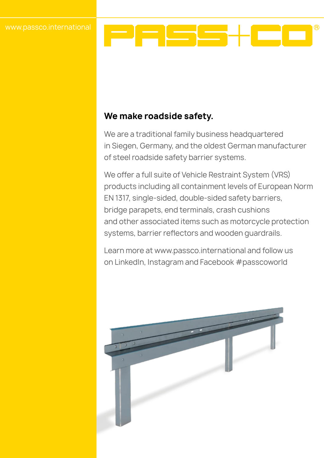

#### **We make roadside safety.**

We are a traditional family business headquartered in Siegen, Germany, and the oldest German manufacturer of steel roadside safety barrier systems.

We offer a full suite of Vehicle Restraint System (VRS) products including all containment levels of European Norm EN 1317, single-sided, double-sided safety barriers, bridge parapets, end terminals, crash cushions and other associated items such as motorcycle protection systems, barrier reflectors and wooden guardrails.

Learn more at www.passco.international and follow us on LinkedIn, Instagram and Facebook #passcoworld